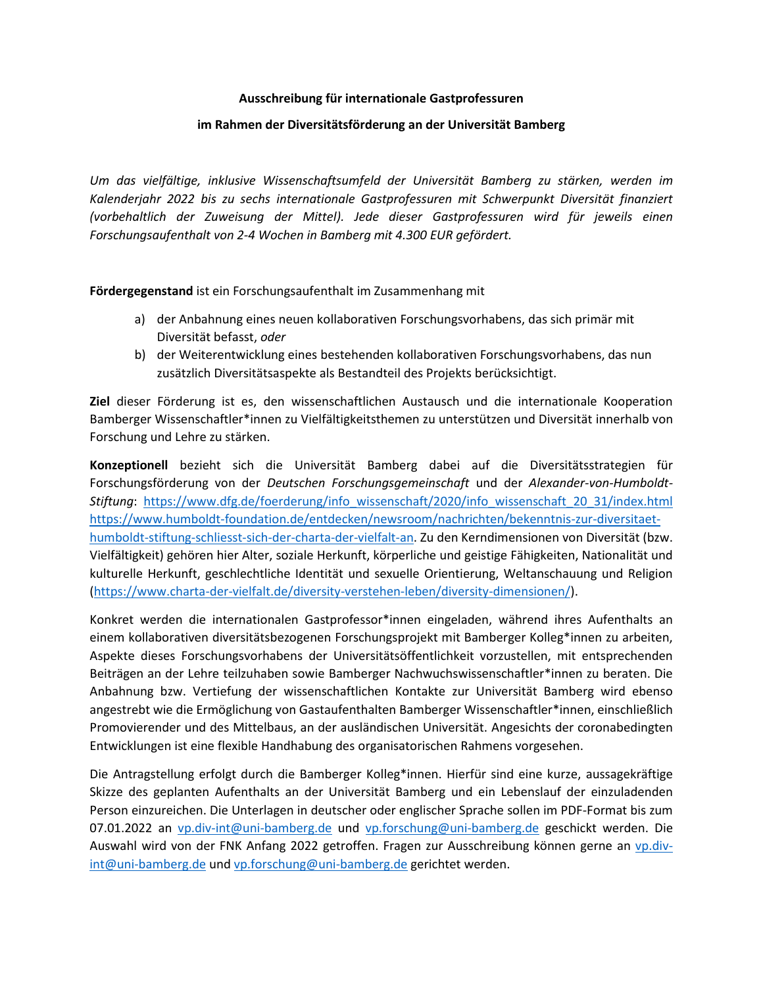## **Ausschreibung für internationale Gastprofessuren**

#### **im Rahmen der Diversitätsförderung an der Universität Bamberg**

*Um das vielfältige, inklusive Wissenschaftsumfeld der Universität Bamberg zu stärken, werden im Kalenderjahr 2022 bis zu sechs internationale Gastprofessuren mit Schwerpunkt Diversität finanziert (vorbehaltlich der Zuweisung der Mittel). Jede dieser Gastprofessuren wird für jeweils einen Forschungsaufenthalt von 2-4 Wochen in Bamberg mit 4.300 EUR gefördert.*

**Fördergegenstand** ist ein Forschungsaufenthalt im Zusammenhang mit

- a) der Anbahnung eines neuen kollaborativen Forschungsvorhabens, das sich primär mit Diversität befasst, *oder*
- b) der Weiterentwicklung eines bestehenden kollaborativen Forschungsvorhabens, das nun zusätzlich Diversitätsaspekte als Bestandteil des Projekts berücksichtigt.

**Ziel** dieser Förderung ist es, den wissenschaftlichen Austausch und die internationale Kooperation Bamberger Wissenschaftler\*innen zu Vielfältigkeitsthemen zu unterstützen und Diversität innerhalb von Forschung und Lehre zu stärken.

**Konzeptionell** bezieht sich die Universität Bamberg dabei auf die Diversitätsstrategien für Forschungsförderung von der *Deutschen Forschungsgemeinschaft* und der *Alexander-von-Humboldt-Stiftung*: [https://www.dfg.de/foerderung/info\\_wissenschaft/2020/info\\_wissenschaft\\_20\\_31/index.html](https://www.dfg.de/foerderung/info_wissenschaft/2020/info_wissenschaft_20_31/index.html) [https://www.humboldt-foundation.de/entdecken/newsroom/nachrichten/bekenntnis-zur-diversitaet](https://www.humboldt-foundation.de/entdecken/newsroom/nachrichten/bekenntnis-zur-diversitaet-humboldt-stiftung-schliesst-sich-der-charta-der-vielfalt-an)[humboldt-stiftung-schliesst-sich-der-charta-der-vielfalt-an.](https://www.humboldt-foundation.de/entdecken/newsroom/nachrichten/bekenntnis-zur-diversitaet-humboldt-stiftung-schliesst-sich-der-charta-der-vielfalt-an) Zu den Kerndimensionen von Diversität (bzw. Vielfältigkeit) gehören hier Alter, soziale Herkunft, körperliche und geistige Fähigkeiten, Nationalität und kulturelle Herkunft, geschlechtliche Identität und sexuelle Orientierung, Weltanschauung und Religion [\(https://www.charta-der-vielfalt.de/diversity-verstehen-leben/diversity-dimensionen/\).](https://www.charta-der-vielfalt.de/diversity-verstehen-leben/diversity-dimensionen/)

Konkret werden die internationalen Gastprofessor\*innen eingeladen, während ihres Aufenthalts an einem kollaborativen diversitätsbezogenen Forschungsprojekt mit Bamberger Kolleg\*innen zu arbeiten, Aspekte dieses Forschungsvorhabens der Universitätsöffentlichkeit vorzustellen, mit entsprechenden Beiträgen an der Lehre teilzuhaben sowie Bamberger Nachwuchswissenschaftler\*innen zu beraten. Die Anbahnung bzw. Vertiefung der wissenschaftlichen Kontakte zur Universität Bamberg wird ebenso angestrebt wie die Ermöglichung von Gastaufenthalten Bamberger Wissenschaftler\*innen, einschließlich Promovierender und des Mittelbaus, an der ausländischen Universität. Angesichts der coronabedingten Entwicklungen ist eine flexible Handhabung des organisatorischen Rahmens vorgesehen.

Die Antragstellung erfolgt durch die Bamberger Kolleg\*innen. Hierfür sind eine kurze, aussagekräftige Skizze des geplanten Aufenthalts an der Universität Bamberg und ein Lebenslauf der einzuladenden Person einzureichen. Die Unterlagen in deutscher oder englischer Sprache sollen im PDF-Format bis zum 07.01.2022 an [vp.div-int@uni-bamberg.de](mailto:vp.div-int@uni-bamberg.de) und [vp.forschung@uni-bamberg.de](mailto:vp.forschung@uni-bamberg.de) geschickt werden. Die Auswahl wird von der FNK Anfang 2022 getroffen. Fragen zur Ausschreibung können gerne an [vp.div](mailto:vp.div-int@uni-bamberg.de)[int@uni-bamberg.de](mailto:vp.div-int@uni-bamberg.de) un[d vp.forschung@uni-bamberg.de](mailto:vp.forschung@uni-bamberg.de) gerichtet werden.